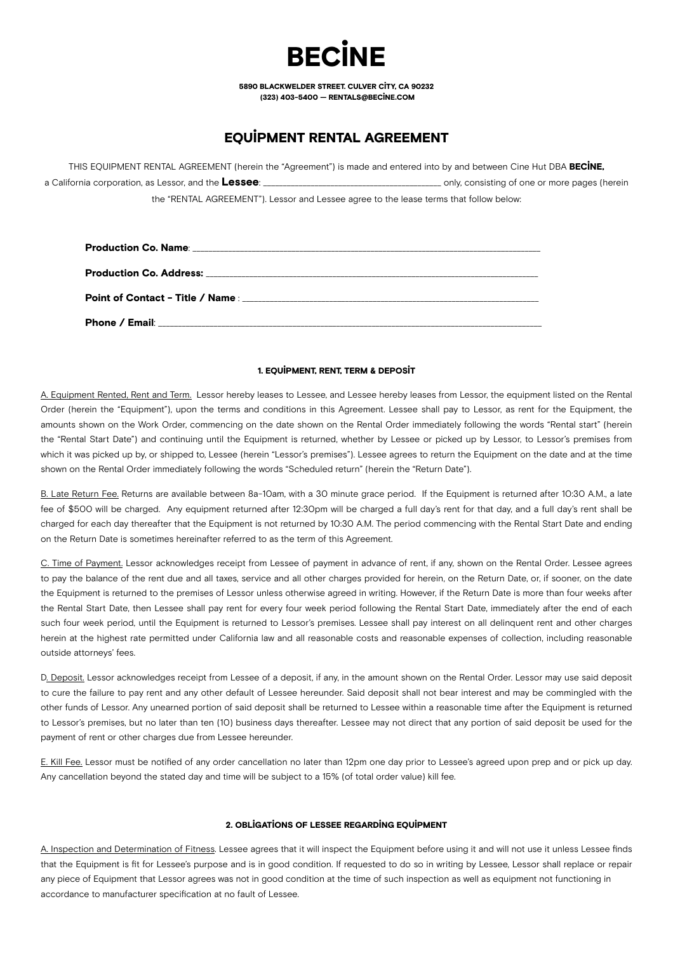# **RECINE**

5890 BLACKWELDER STREET. CULVER CITY, CA 90232 (323) 403-5400 — RENTALS@BECINE.COM

# EQUIPMENT RENTAL AGREEMENT

THIS EQUIPMENT RENTAL AGREEMENT (herein the "Agreement") is made and entered into by and between Cine Hut DBA BECINE, a California corporation, as Lessor, and the Lessee: \_\_\_\_\_\_\_\_\_\_\_\_\_\_\_\_\_\_\_\_\_\_\_\_\_\_\_\_\_\_\_\_\_\_\_\_\_\_\_\_\_\_\_\_\_ only, consisting of one or more pages (herein the "RENTAL AGREEMENT"). Lessor and Lessee agree to the lease terms that follow below:

## 1. EQUIPMENT, RENT, TERM & DEPOSIT

A. Equipment Rented, Rent and Term. Lessor hereby leases to Lessee, and Lessee hereby leases from Lessor, the equipment listed on the Rental Order (herein the "Equipment"), upon the terms and conditions in this Agreement. Lessee shall pay to Lessor, as rent for the Equipment, the amounts shown on the Work Order, commencing on the date shown on the Rental Order immediately following the words "Rental start" (herein the "Rental Start Date") and continuing until the Equipment is returned, whether by Lessee or picked up by Lessor, to Lessor's premises from which it was picked up by, or shipped to, Lessee (herein "Lessor's premises"). Lessee agrees to return the Equipment on the date and at the time shown on the Rental Order immediately following the words "Scheduled return" (herein the "Return Date").

B. Late Return Fee. Returns are available between 8a-10am, with a 30 minute grace period. If the Equipment is returned after 10:30 A.M., a late fee of \$500 will be charged. Any equipment returned after 12:30pm will be charged a full day's rent for that day, and a full day's rent shall be charged for each day thereafter that the Equipment is not returned by 10:30 A.M. The period commencing with the Rental Start Date and ending on the Return Date is sometimes hereinafter referred to as the term of this Agreement.

C. Time of Payment. Lessor acknowledges receipt from Lessee of payment in advance of rent, if any, shown on the Rental Order. Lessee agrees to pay the balance of the rent due and all taxes, service and all other charges provided for herein, on the Return Date, or, if sooner, on the date the Equipment is returned to the premises of Lessor unless otherwise agreed in writing. However, if the Return Date is more than four weeks after the Rental Start Date, then Lessee shall pay rent for every four week period following the Rental Start Date, immediately after the end of each such four week period, until the Equipment is returned to Lessor's premises. Lessee shall pay interest on all delinquent rent and other charges herein at the highest rate permitted under California law and all reasonable costs and reasonable expenses of collection, including reasonable outside attorneys' fees.

D. Deposit. Lessor acknowledges receipt from Lessee of a deposit, if any, in the amount shown on the Rental Order. Lessor may use said deposit to cure the failure to pay rent and any other default of Lessee hereunder. Said deposit shall not bear interest and may be commingled with the other funds of Lessor. Any unearned portion of said deposit shall be returned to Lessee within a reasonable time after the Equipment is returned to Lessor's premises, but no later than ten (10) business days thereafter. Lessee may not direct that any portion of said deposit be used for the payment of rent or other charges due from Lessee hereunder.

E. Kill Fee. Lessor must be notified of any order cancellation no later than 12pm one day prior to Lessee's agreed upon prep and or pick up day. Any cancellation beyond the stated day and time will be subject to a 15% (of total order value) kill fee.

#### 2. OBLIGATIONS OF LESSEE REGARDING EQUIPMENT

A. Inspection and Determination of Fitness. Lessee agrees that it will inspect the Equipment before using it and will not use it unless Lessee finds that the Equipment is fit for Lessee's purpose and is in good condition. If requested to do so in writing by Lessee, Lessor shall replace or repair any piece of Equipment that Lessor agrees was not in good condition at the time of such inspection as well as equipment not functioning in accordance to manufacturer specification at no fault of Lessee.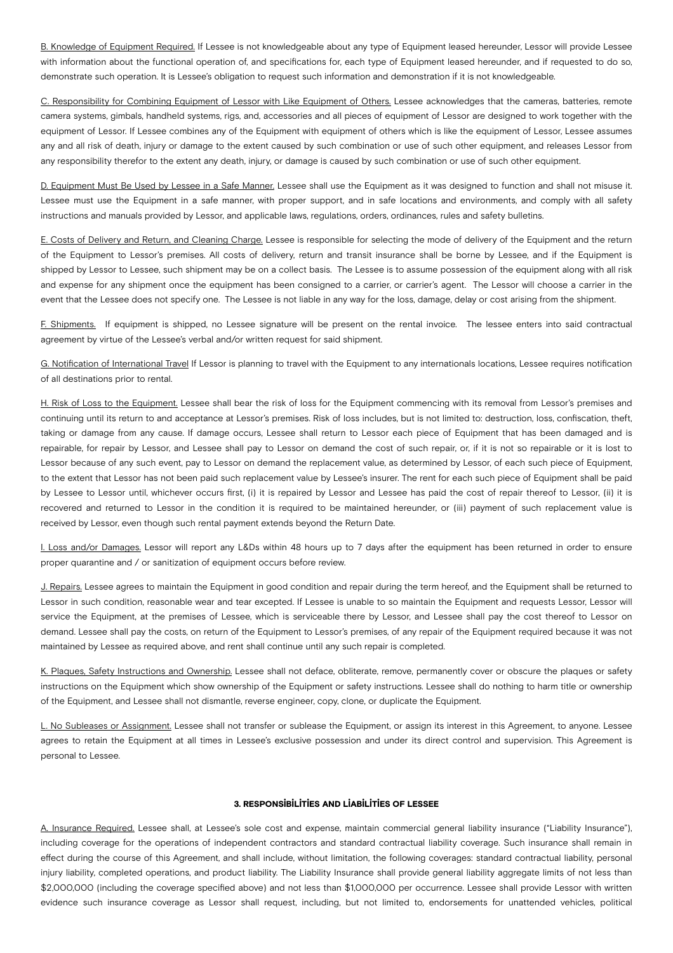B. Knowledge of Equipment Required. If Lessee is not knowledgeable about any type of Equipment leased hereunder, Lessor will provide Lessee with information about the functional operation of, and specifications for, each type of Equipment leased hereunder, and if requested to do so, demonstrate such operation. It is Lessee's obligation to request such information and demonstration if it is not knowledgeable.

C. Responsibility for Combining Equipment of Lessor with Like Equipment of Others. Lessee acknowledges that the cameras, batteries, remote camera systems, gimbals, handheld systems, rigs, and, accessories and all pieces of equipment of Lessor are designed to work together with the equipment of Lessor. If Lessee combines any of the Equipment with equipment of others which is like the equipment of Lessor, Lessee assumes any and all risk of death, injury or damage to the extent caused by such combination or use of such other equipment, and releases Lessor from any responsibility therefor to the extent any death, injury, or damage is caused by such combination or use of such other equipment.

D. Equipment Must Be Used by Lessee in a Safe Manner. Lessee shall use the Equipment as it was designed to function and shall not misuse it. Lessee must use the Equipment in a safe manner, with proper support, and in safe locations and environments, and comply with all safety instructions and manuals provided by Lessor, and applicable laws, regulations, orders, ordinances, rules and safety bulletins.

E. Costs of Delivery and Return, and Cleaning Charge. Lessee is responsible for selecting the mode of delivery of the Equipment and the return of the Equipment to Lessor's premises. All costs of delivery, return and transit insurance shall be borne by Lessee, and if the Equipment is shipped by Lessor to Lessee, such shipment may be on a collect basis. The Lessee is to assume possession of the equipment along with all risk and expense for any shipment once the equipment has been consigned to a carrier, or carrier's agent. The Lessor will choose a carrier in the event that the Lessee does not specify one. The Lessee is not liable in any way for the loss, damage, delay or cost arising from the shipment.

F. Shipments. If equipment is shipped, no Lessee signature will be present on the rental invoice. The lessee enters into said contractual agreement by virtue of the Lessee's verbal and/or written request for said shipment.

G. Notification of International Travel If Lessor is planning to travel with the Equipment to any internationals locations, Lessee requires notification of all destinations prior to rental.

H. Risk of Loss to the Equipment. Lessee shall bear the risk of loss for the Equipment commencing with its removal from Lessor's premises and continuing until its return to and acceptance at Lessor's premises. Risk of loss includes, but is not limited to: destruction, loss, confiscation, theft, taking or damage from any cause. If damage occurs, Lessee shall return to Lessor each piece of Equipment that has been damaged and is repairable, for repair by Lessor, and Lessee shall pay to Lessor on demand the cost of such repair, or, if it is not so repairable or it is lost to Lessor because of any such event, pay to Lessor on demand the replacement value, as determined by Lessor, of each such piece of Equipment, to the extent that Lessor has not been paid such replacement value by Lessee's insurer. The rent for each such piece of Equipment shall be paid by Lessee to Lessor until, whichever occurs first, (i) it is repaired by Lessor and Lessee has paid the cost of repair thereof to Lessor, (ii) it is recovered and returned to Lessor in the condition it is required to be maintained hereunder, or (iii) payment of such replacement value is received by Lessor, even though such rental payment extends beyond the Return Date.

I. Loss and/or Damages. Lessor will report any L&Ds within 48 hours up to 7 days after the equipment has been returned in order to ensure proper quarantine and / or sanitization of equipment occurs before review.

J. Repairs. Lessee agrees to maintain the Equipment in good condition and repair during the term hereof, and the Equipment shall be returned to Lessor in such condition, reasonable wear and tear excepted. If Lessee is unable to so maintain the Equipment and requests Lessor, Lessor will service the Equipment, at the premises of Lessee, which is serviceable there by Lessor, and Lessee shall pay the cost thereof to Lessor on demand. Lessee shall pay the costs, on return of the Equipment to Lessor's premises, of any repair of the Equipment required because it was not maintained by Lessee as required above, and rent shall continue until any such repair is completed.

K. Plaques, Safety Instructions and Ownership. Lessee shall not deface, obliterate, remove, permanently cover or obscure the plaques or safety instructions on the Equipment which show ownership of the Equipment or safety instructions. Lessee shall do nothing to harm title or ownership of the Equipment, and Lessee shall not dismantle, reverse engineer, copy, clone, or duplicate the Equipment.

L. No Subleases or Assignment. Lessee shall not transfer or sublease the Equipment, or assign its interest in this Agreement, to anyone. Lessee agrees to retain the Equipment at all times in Lessee's exclusive possession and under its direct control and supervision. This Agreement is personal to Lessee.

#### 3. RESPONSIBILITIES AND LIABILITIES OF LESSEE

A. Insurance Required. Lessee shall, at Lessee's sole cost and expense, maintain commercial general liability insurance ("Liability Insurance"), including coverage for the operations of independent contractors and standard contractual liability coverage. Such insurance shall remain in effect during the course of this Agreement, and shall include, without limitation, the following coverages: standard contractual liability, personal injury liability, completed operations, and product liability. The Liability Insurance shall provide general liability aggregate limits of not less than \$2,000,000 (including the coverage specified above) and not less than \$1,000,000 per occurrence. Lessee shall provide Lessor with written evidence such insurance coverage as Lessor shall request, including, but not limited to, endorsements for unattended vehicles, political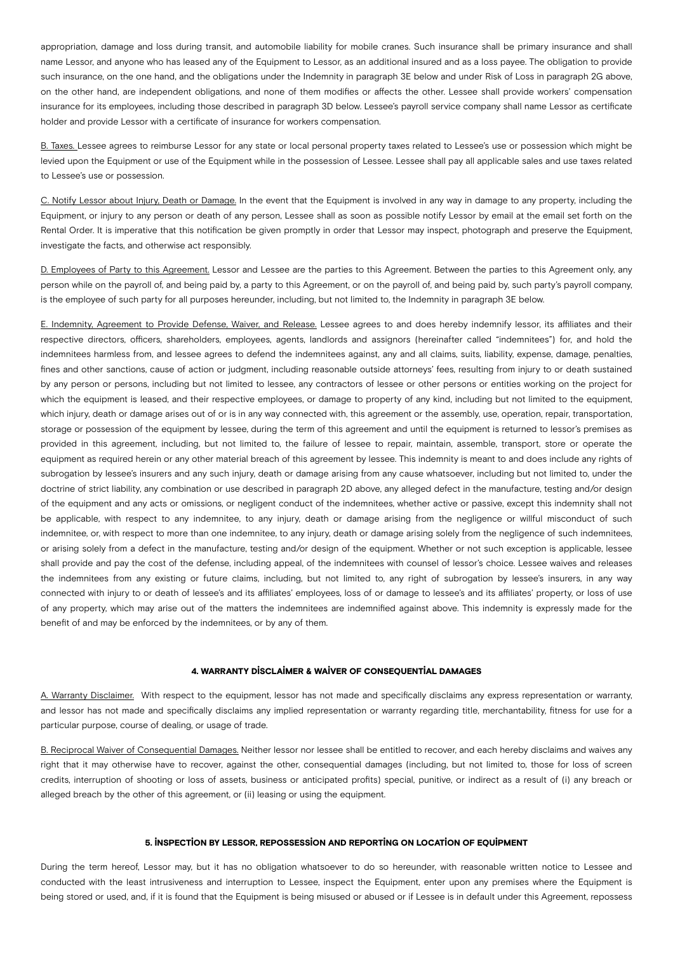appropriation, damage and loss during transit, and automobile liability for mobile cranes. Such insurance shall be primary insurance and shall name Lessor, and anyone who has leased any of the Equipment to Lessor, as an additional insured and as a loss payee. The obligation to provide such insurance, on the one hand, and the obligations under the Indemnity in paragraph 3E below and under Risk of Loss in paragraph 2G above, on the other hand, are independent obligations, and none of them modifies or affects the other. Lessee shall provide workers' compensation insurance for its employees, including those described in paragraph 3D below. Lessee's payroll service company shall name Lessor as certificate holder and provide Lessor with a certificate of insurance for workers compensation.

B. Taxes. Lessee agrees to reimburse Lessor for any state or local personal property taxes related to Lessee's use or possession which might be levied upon the Equipment or use of the Equipment while in the possession of Lessee. Lessee shall pay all applicable sales and use taxes related to Lessee's use or possession.

C. Notify Lessor about Injury, Death or Damage. In the event that the Equipment is involved in any way in damage to any property, including the Equipment, or injury to any person or death of any person, Lessee shall as soon as possible notify Lessor by email at the email set forth on the Rental Order. It is imperative that this notification be given promptly in order that Lessor may inspect, photograph and preserve the Equipment, investigate the facts, and otherwise act responsibly.

D. Employees of Party to this Agreement. Lessor and Lessee are the parties to this Agreement. Between the parties to this Agreement only, any person while on the payroll of, and being paid by, a party to this Agreement, or on the payroll of, and being paid by, such party's payroll company, is the employee of such party for all purposes hereunder, including, but not limited to, the Indemnity in paragraph 3E below.

E. Indemnity, Agreement to Provide Defense, Waiver, and Release. Lessee agrees to and does hereby indemnify lessor, its affiliates and their respective directors, officers, shareholders, employees, agents, landlords and assignors (hereinafter called "indemnitees") for, and hold the indemnitees harmless from, and lessee agrees to defend the indemnitees against, any and all claims, suits, liability, expense, damage, penalties, fines and other sanctions, cause of action or judgment, including reasonable outside attorneys' fees, resulting from injury to or death sustained by any person or persons, including but not limited to lessee, any contractors of lessee or other persons or entities working on the project for which the equipment is leased, and their respective employees, or damage to property of any kind, including but not limited to the equipment, which injury, death or damage arises out of or is in any way connected with, this agreement or the assembly, use, operation, repair, transportation, storage or possession of the equipment by lessee, during the term of this agreement and until the equipment is returned to lessor's premises as provided in this agreement, including, but not limited to, the failure of lessee to repair, maintain, assemble, transport, store or operate the equipment as required herein or any other material breach of this agreement by lessee. This indemnity is meant to and does include any rights of subrogation by lessee's insurers and any such injury, death or damage arising from any cause whatsoever, including but not limited to, under the doctrine of strict liability, any combination or use described in paragraph 2D above, any alleged defect in the manufacture, testing and/or design of the equipment and any acts or omissions, or negligent conduct of the indemnitees, whether active or passive, except this indemnity shall not be applicable, with respect to any indemnitee, to any injury, death or damage arising from the negligence or willful misconduct of such indemnitee, or, with respect to more than one indemnitee, to any injury, death or damage arising solely from the negligence of such indemnitees, or arising solely from a defect in the manufacture, testing and/or design of the equipment. Whether or not such exception is applicable, lessee shall provide and pay the cost of the defense, including appeal, of the indemnitees with counsel of lessor's choice. Lessee waives and releases the indemnitees from any existing or future claims, including, but not limited to, any right of subrogation by lessee's insurers, in any way connected with injury to or death of lessee's and its affiliates' employees, loss of or damage to lessee's and its affiliates' property, or loss of use of any property, which may arise out of the matters the indemnitees are indemnified against above. This indemnity is expressly made for the benefit of and may be enforced by the indemnitees, or by any of them.

#### 4. WARRANTY DISCLAIMER & WAIVER OF CONSEQUENTIAL DAMAGES

A. Warranty Disclaimer. With respect to the equipment, lessor has not made and specifically disclaims any express representation or warranty, and lessor has not made and specifically disclaims any implied representation or warranty regarding title, merchantability, fitness for use for a particular purpose, course of dealing, or usage of trade.

B. Reciprocal Waiver of Consequential Damages. Neither lessor nor lessee shall be entitled to recover, and each hereby disclaims and waives any right that it may otherwise have to recover, against the other, consequential damages (including, but not limited to, those for loss of screen credits, interruption of shooting or loss of assets, business or anticipated profits) special, punitive, or indirect as a result of (i) any breach or alleged breach by the other of this agreement, or (ii) leasing or using the equipment.

#### 5. INSPECTION BY LESSOR, REPOSSESSION AND REPORTING ON LOCATION OF EQUIPMENT

During the term hereof, Lessor may, but it has no obligation whatsoever to do so hereunder, with reasonable written notice to Lessee and conducted with the least intrusiveness and interruption to Lessee, inspect the Equipment, enter upon any premises where the Equipment is being stored or used, and, if it is found that the Equipment is being misused or abused or if Lessee is in default under this Agreement, repossess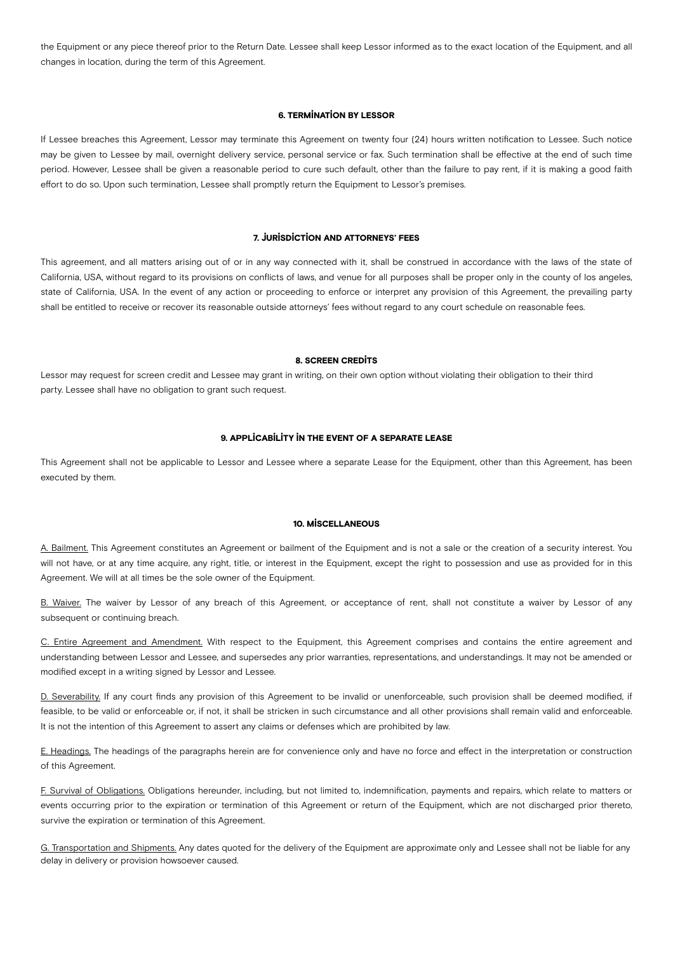the Equipment or any piece thereof prior to the Return Date. Lessee shall keep Lessor informed as to the exact location of the Equipment, and all changes in location, during the term of this Agreement.

#### 6. TERMINATION BY LESSOR

If Lessee breaches this Agreement, Lessor may terminate this Agreement on twenty four (24) hours written notification to Lessee. Such notice may be given to Lessee by mail, overnight delivery service, personal service or fax. Such termination shall be effective at the end of such time period. However, Lessee shall be given a reasonable period to cure such default, other than the failure to pay rent, if it is making a good faith effort to do so. Upon such termination, Lessee shall promptly return the Equipment to Lessor's premises.

#### 7. JURISDICTION AND ATTORNEYS' FEES

This agreement, and all matters arising out of or in any way connected with it, shall be construed in accordance with the laws of the state of California, USA, without regard to its provisions on conflicts of laws, and venue for all purposes shall be proper only in the county of los angeles, state of California, USA. In the event of any action or proceeding to enforce or interpret any provision of this Agreement, the prevailing party shall be entitled to receive or recover its reasonable outside attorneys' fees without regard to any court schedule on reasonable fees.

#### 8. SCREEN CREDITS

Lessor may request for screen credit and Lessee may grant in writing, on their own option without violating their obligation to their third party. Lessee shall have no obligation to grant such request.

#### 9. APPLICABILITY IN THE EVENT OF A SEPARATE LEASE

This Agreement shall not be applicable to Lessor and Lessee where a separate Lease for the Equipment, other than this Agreement, has been executed by them.

#### 10. MISCELLANEOUS

A. Bailment. This Agreement constitutes an Agreement or bailment of the Equipment and is not a sale or the creation of a security interest. You will not have, or at any time acquire, any right, title, or interest in the Equipment, except the right to possession and use as provided for in this Agreement. We will at all times be the sole owner of the Equipment.

B. Waiver. The waiver by Lessor of any breach of this Agreement, or acceptance of rent, shall not constitute a waiver by Lessor of any subsequent or continuing breach.

C. Entire Agreement and Amendment. With respect to the Equipment, this Agreement comprises and contains the entire agreement and understanding between Lessor and Lessee, and supersedes any prior warranties, representations, and understandings. It may not be amended or modified except in a writing signed by Lessor and Lessee.

D. Severability. If any court finds any provision of this Agreement to be invalid or unenforceable, such provision shall be deemed modified, if feasible, to be valid or enforceable or, if not, it shall be stricken in such circumstance and all other provisions shall remain valid and enforceable. It is not the intention of this Agreement to assert any claims or defenses which are prohibited by law.

E. Headings. The headings of the paragraphs herein are for convenience only and have no force and effect in the interpretation or construction of this Agreement.

F. Survival of Obligations. Obligations hereunder, including, but not limited to, indemnification, payments and repairs, which relate to matters or events occurring prior to the expiration or termination of this Agreement or return of the Equipment, which are not discharged prior thereto, survive the expiration or termination of this Agreement.

G. Transportation and Shipments. Any dates quoted for the delivery of the Equipment are approximate only and Lessee shall not be liable for any delay in delivery or provision howsoever caused.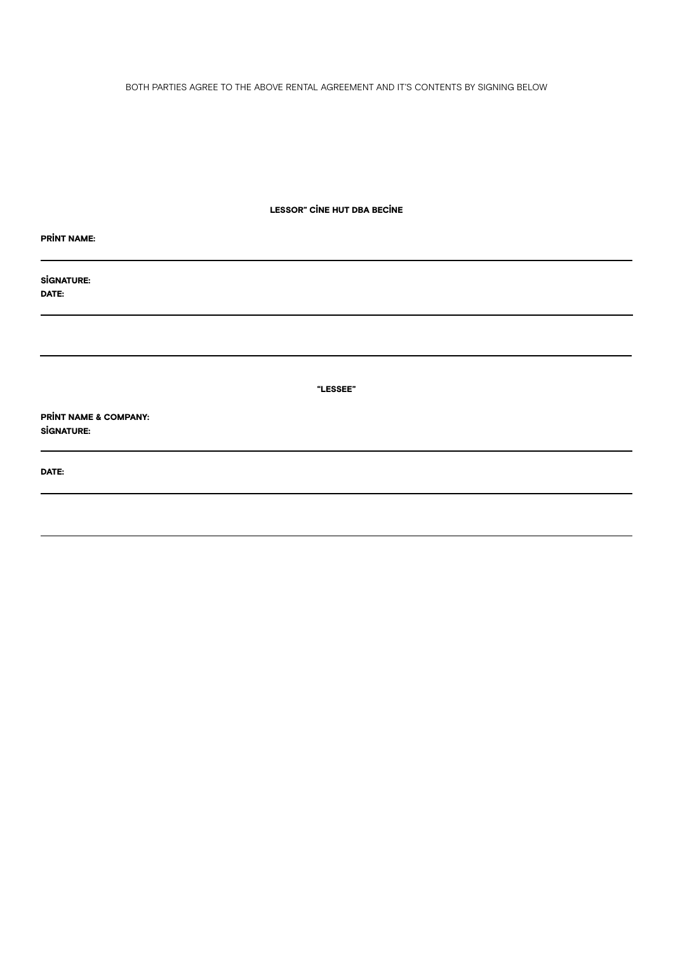BOTH PARTIES AGREE TO THE ABOVE RENTAL AGREEMENT AND IT'S CONTENTS BY SIGNING BELOW

LESSOR" CINE HUT DBA BECINE

| <b>PRINT NAME:</b>                                    |
|-------------------------------------------------------|
| <b>SİGNATURE:</b><br>DATE:                            |
|                                                       |
|                                                       |
| "LESSEE"                                              |
| <b>PRINT NAME &amp; COMPANY:</b><br><b>SİGNATURE:</b> |
| DATE:                                                 |
|                                                       |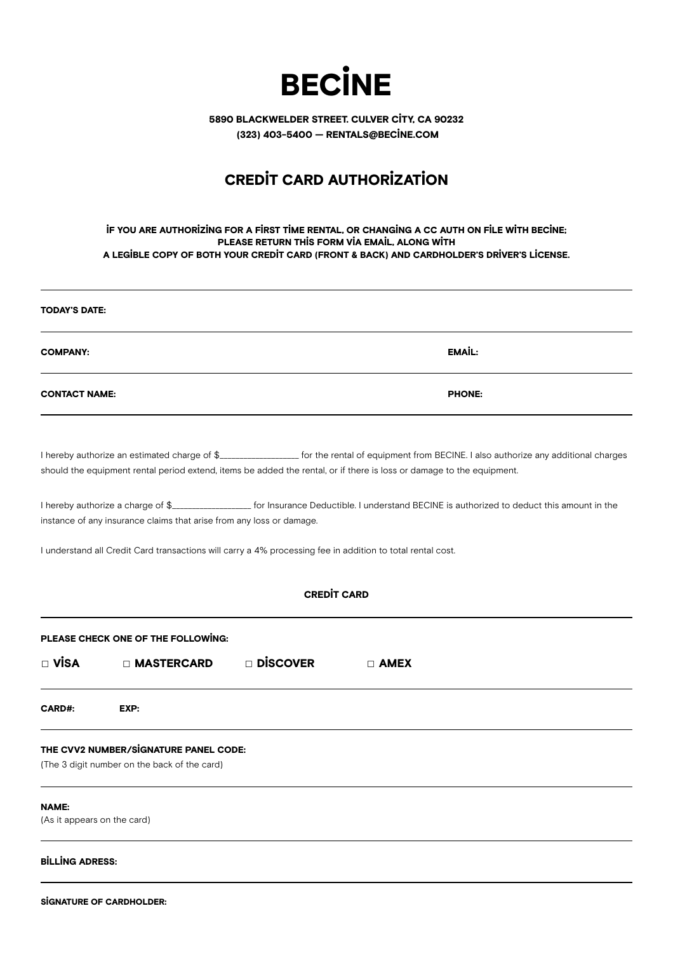

5890 BLACKWELDER STREET. CULVER CITY, CA 90232 (323) 403-5400 — RENTALS@BECINE.COM

# CREDIT CARD AUTHORIZATION

## IF YOU ARE AUTHORIZING FOR A FIRST TIME RENTAL, OR CHANGING A CC AUTH ON FILE WITH BECINE; PLEASE RETURN THIS FORM VIA EMAIL, ALONG WITH A LEGIBLE COPY OF BOTH YOUR CREDIT CARD (FRONT & BACK) AND CARDHOLDER'S DRIVER'S LICENSE.

| <b>TODAY'S DATE:</b>                                                                                                                                                                                                   |                    |                    |                                                                                                                                                 |  |
|------------------------------------------------------------------------------------------------------------------------------------------------------------------------------------------------------------------------|--------------------|--------------------|-------------------------------------------------------------------------------------------------------------------------------------------------|--|
| <b>COMPANY:</b>                                                                                                                                                                                                        |                    |                    | EMAIL:                                                                                                                                          |  |
| <b>CONTACT NAME:</b>                                                                                                                                                                                                   |                    |                    | <b>PHONE:</b>                                                                                                                                   |  |
| should the equipment rental period extend, items be added the rental, or if there is loss or damage to the equipment.                                                                                                  |                    |                    | I hereby authorize an estimated charge of \$__________________ for the rental of equipment from BECINE. I also authorize any additional charges |  |
| I hereby authorize a charge of \$____________________ for Insurance Deductible. I understand BECINE is authorized to deduct this amount in the<br>instance of any insurance claims that arise from any loss or damage. |                    |                    |                                                                                                                                                 |  |
| I understand all Credit Card transactions will carry a 4% processing fee in addition to total rental cost.                                                                                                             |                    |                    |                                                                                                                                                 |  |
|                                                                                                                                                                                                                        |                    | <b>CREDIT CARD</b> |                                                                                                                                                 |  |
| PLEASE CHECK ONE OF THE FOLLOWING:                                                                                                                                                                                     |                    |                    |                                                                                                                                                 |  |
| $\Box$ Visa<br>$\Box$ MASTERCARD                                                                                                                                                                                       | $\square$ Discover | $\Box$ AMEX        |                                                                                                                                                 |  |
| CARD#:<br>EXP:                                                                                                                                                                                                         |                    |                    |                                                                                                                                                 |  |
| THE CVV2 NUMBER/SIGNATURE PANEL CODE:<br>(The 3 digit number on the back of the card)                                                                                                                                  |                    |                    |                                                                                                                                                 |  |
| NAME:<br>(As it appears on the card)                                                                                                                                                                                   |                    |                    |                                                                                                                                                 |  |
| <b>BİLLİNG ADRESS:</b>                                                                                                                                                                                                 |                    |                    |                                                                                                                                                 |  |